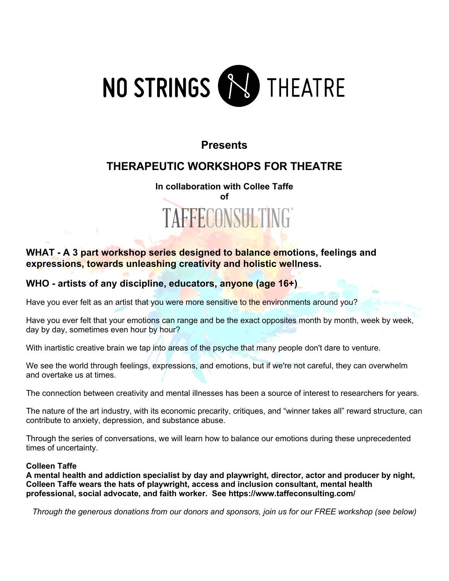

### **Presents**

## **THERAPEUTIC WORKSHOPS FOR THEATRE**

# **In collaboration with Collee Taffe of** TAFFECONSULTING

### **WHAT - A 3 part workshop series designed to balance emotions, feelings and expressions, towards unleashing creativity and holistic wellness.**

### **WHO - artists of any discipline, educators, anyone (age 16+)**

Have you ever felt as an artist that you were more sensitive to the environments around you?

Have you ever felt that your emotions can range and be the exact opposites month by month, week by week, day by day, sometimes even hour by hour?

With inartistic creative brain we tap into areas of the psyche that many people don't dare to venture.

We see the world through feelings, expressions, and emotions, but if we're not careful, they can overwhelm and overtake us at times.

The connection between creativity and mental illnesses has been a source of interest to researchers for years.

The nature of the art industry, with its economic precarity, critiques, and "winner takes all" reward structure, can contribute to anxiety, depression, and substance abuse.

Through the series of conversations, we will learn how to balance our emotions during these unprecedented times of uncertainty.

#### **Colleen Taffe**

**A mental health and addiction specialist by day and playwright, director, actor and producer by night, Colleen Taffe wears the hats of playwright, access and inclusion consultant, mental health professional, social advocate, and faith worker. See https://www.taffeconsulting.com/**

*Through the generous donations from our donors and sponsors, join us for our FREE workshop (see below)*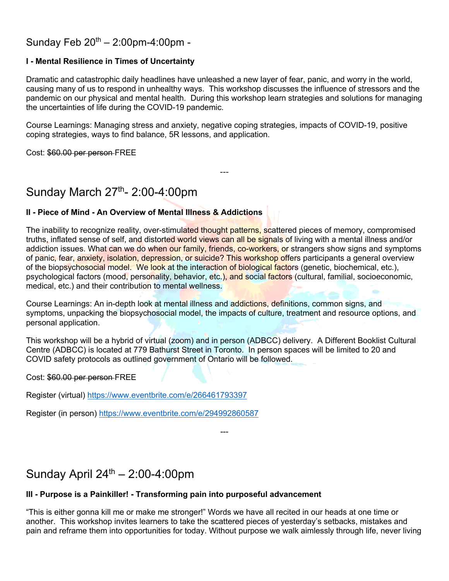### Sunday Feb  $20^{th} - 2:00$ pm-4:00pm -

#### **I - Mental Resilience in Times of Uncertainty**

Dramatic and catastrophic daily headlines have unleashed a new layer of fear, panic, and worry in the world, causing many of us to respond in unhealthy ways. This workshop discusses the influence of stressors and the pandemic on our physical and mental health. During this workshop learn strategies and solutions for managing the uncertainties of life during the COVID-19 pandemic.

Course Learnings: Managing stress and anxiety, negative coping strategies, impacts of COVID-19, positive coping strategies, ways to find balance, 5R lessons, and application.

---

Cost: \$60.00 per person FREE

## Sunday March 27<sup>th</sup>- 2:00-4:00pm

### **II - Piece of Mind - An Overview of Mental Illness & Addictions**

The inability to recognize reality, over-stimulated thought patterns, scattered pieces of memory, compromised truths, inflated sense of self, and distorted world views can all be signals of living with a mental illness and/or addiction issues. What can we do when our family, friends, co-workers, or strangers show signs and symptoms of panic, fear, anxiety, isolation, depression, or suicide? This workshop offers participants a general overview of the biopsychosocial model. We look at the interaction of biological factors (genetic, biochemical, etc.), psychological factors (mood, personality, behavior, etc.), and social factors (cultural, familial, socioeconomic, medical, etc.) and their contribution to mental wellness.

Course Learnings: An in-depth look at mental illness and addictions, definitions, common signs, and symptoms, unpacking the biopsychosocial model, the impacts of culture, treatment and resource options, and personal application.

This workshop will be a hybrid of virtual (zoom) and in person (ADBCC) delivery. A Different Booklist Cultural Centre (ADBCC) is located at 779 Bathurst Street in Toronto. In person spaces will be limited to 20 and COVID safety protocols as outlined government of Ontario will be followed.

Cost: \$60.00 per person FREE

Register (virtual) https://www.eventbrite.com/e/266461793397

Register (in person) https://www.eventbrite.com/e/294992860587

Sunday April  $24<sup>th</sup> - 2:00-4:00$ pm

#### **III - Purpose is a Painkiller! - Transforming pain into purposeful advancement**

"This is either gonna kill me or make me stronger!" Words we have all recited in our heads at one time or another. This workshop invites learners to take the scattered pieces of yesterday's setbacks, mistakes and pain and reframe them into opportunities for today. Without purpose we walk aimlessly through life, never living

---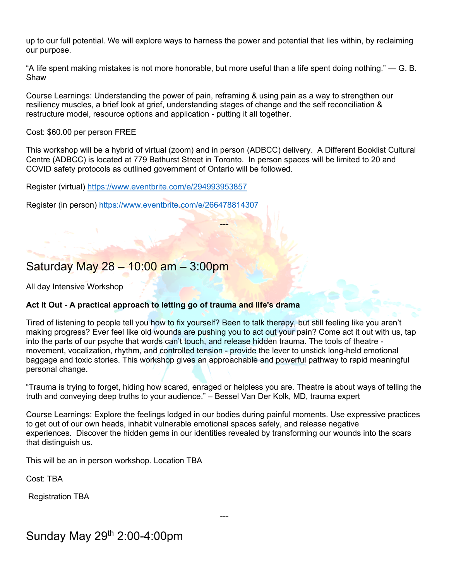up to our full potential. We will explore ways to harness the power and potential that lies within, by reclaiming our purpose.

"A life spent making mistakes is not more honorable, but more useful than a life spent doing nothing." ― G. B. Shaw

Course Learnings: Understanding the power of pain, reframing & using pain as a way to strengthen our resiliency muscles, a brief look at grief, understanding stages of change and the self reconciliation & restructure model, resource options and application - putting it all together.

Cost: \$60.00 per person FREE

This workshop will be a hybrid of virtual (zoom) and in person (ADBCC) delivery. A Different Booklist Cultural Centre (ADBCC) is located at 779 Bathurst Street in Toronto. In person spaces will be limited to 20 and COVID safety protocols as outlined government of Ontario will be followed.

---

Register (virtual) https://www.eventbrite.com/e/294993953857

Register (in person) https://www.eventbrite.com/e/266478814307

### Saturday May 28 – 10:00 am – 3:00pm

All day Intensive Workshop

#### **Act It Out - A practical approach to letting go of trauma and life's drama**

Tired of listening to people tell you how to fix yourself? Been to talk therapy, but still feeling like you aren't making progress? Ever feel like old wounds are pushing you to act out your pain? Come act it out with us, tap into the parts of our psyche that words can't touch, and release hidden trauma. The tools of theatre movement, vocalization, rhythm, and controlled tension - provide the lever to unstick long-held emotional baggage and toxic stories. This workshop gives an approachable and powerful pathway to rapid meaningful personal change.

"Trauma is trying to forget, hiding how scared, enraged or helpless you are. Theatre is about ways of telling the truth and conveying deep truths to your audience." – Bessel Van Der Kolk, MD, trauma expert

Course Learnings: Explore the feelings lodged in our bodies during painful moments. Use expressive practices to get out of our own heads, inhabit vulnerable emotional spaces safely, and release negative experiences. Discover the hidden gems in our identities revealed by transforming our wounds into the scars that distinguish us.

---

This will be an in person workshop. Location TBA

Cost: TBA

Registration TBA

## Sunday May 29th 2:00-4:00pm